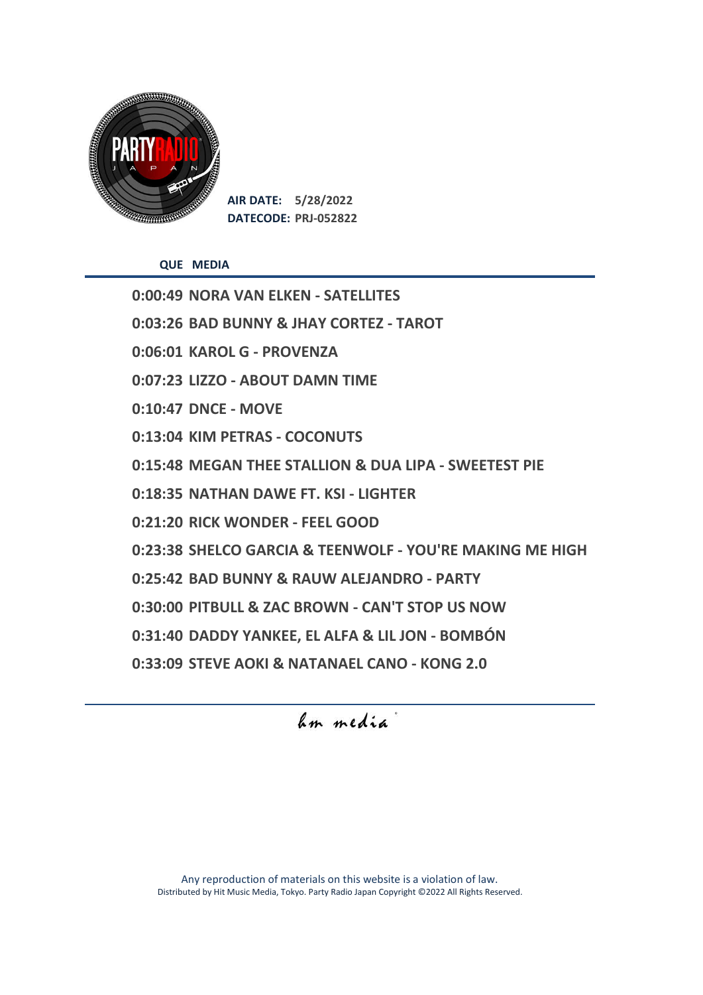

**AIR DATE: 5/28/2022 DATECODE: PRJ-052822**

**QUE MEDIA**

**0:00:49 NORA VAN ELKEN - SATELLITES 0:03:26 BAD BUNNY & JHAY CORTEZ - TAROT 0:06:01 KAROL G - PROVENZA 0:07:23 LIZZO - ABOUT DAMN TIME 0:10:47 DNCE - MOVE 0:13:04 KIM PETRAS - COCONUTS 0:15:48 MEGAN THEE STALLION & DUA LIPA - SWEETEST PIE 0:18:35 NATHAN DAWE FT. KSI - LIGHTER 0:21:20 RICK WONDER - FEEL GOOD 0:23:38 SHELCO GARCIA & TEENWOLF - YOU'RE MAKING ME HIGH 0:25:42 BAD BUNNY & RAUW ALEJANDRO - PARTY 0:30:00 PITBULL & ZAC BROWN - CAN'T STOP US NOW 0:31:40 DADDY YANKEE, EL ALFA & LIL JON - BOMBÓN 0:33:09 STEVE AOKI & NATANAEL CANO - KONG 2.0** 

hm media